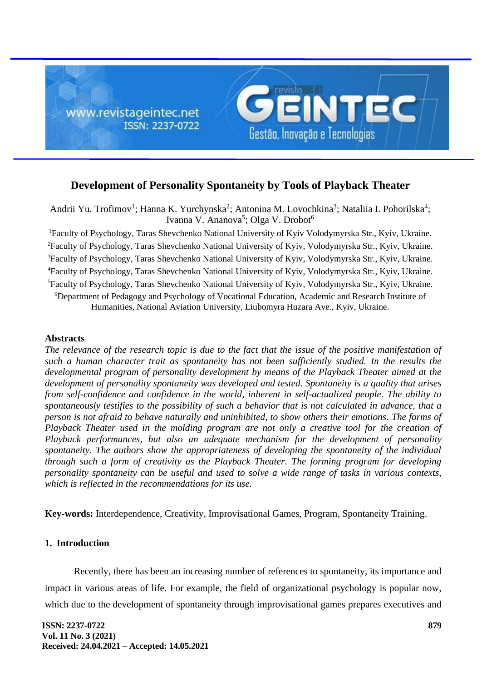

# **Development of Personality Spontaneity by Tools of Playback Theater**

Andrii Yu. Trofimov<sup>1</sup>; Hanna K. Yurchynska<sup>2</sup>; Antonina M. Lovochkina<sup>3</sup>; Nataliia I. Pohorilska<sup>4</sup>; Ivanna V. Ananova<sup>5</sup>; Olga V. Drobot<sup>6</sup>

Faculty of Psychology, Taras Shevchenko National University of Kyiv Volodymyrska Str., Kyiv, Ukraine. Faculty of Psychology, Taras Shevchenko National University of Kyiv, Volodymyrska Str., Kyiv, Ukraine. <sup>3</sup>Faculty of Psychology, Taras Shevchenko National University of Kyiv, Volodymyrska Str., Kyiv, Ukraine. Faculty of Psychology, Taras Shevchenko National University of Kyiv, Volodymyrska Str., Kyiv, Ukraine. Faculty of Psychology, Taras Shevchenko National University of Kyiv, Volodymyrska Str., Kyiv, Ukraine. Department of Pedagogy and Psychology of Vocational Education, Academic and Research Institute of Humanities, National Aviation University, Liubomyra Huzara Ave., Kyiv, Ukraine.

### **Abstracts**

*The relevance of the research topic is due to the fact that the issue of the positive manifestation of such a human character trait as spontaneity has not been sufficiently studied. In the results the developmental program of personality development by means of the Playback Theater aimed at the development of personality spontaneity was developed and tested. Spontaneity is a quality that arises from self-confidence and confidence in the world, inherent in self-actualized people. The ability to spontaneously testifies to the possibility of such a behavior that is not calculated in advance, that a person is not afraid to behave naturally and uninhibited, to show others their emotions. The forms of Playback Theater used in the molding program are not only a creative tool for the creation of Playback performances, but also an adequate mechanism for the development of personality spontaneity. The authors show the appropriateness of developing the spontaneity of the individual through such a form of creativity as the Playback Theater. The forming program for developing personality spontaneity can be useful and used to solve a wide range of tasks in various contexts, which is reflected in the recommendations for its use.*

**Key-words:** Interdependence, Creativity, Improvisational Games, Program, Spontaneity Training.

#### **1. Introduction**

Recently, there has been an increasing number of references to spontaneity, its importance and impact in various areas of life. For example, the field of organizational psychology is popular now, which due to the development of spontaneity through improvisational games prepares executives and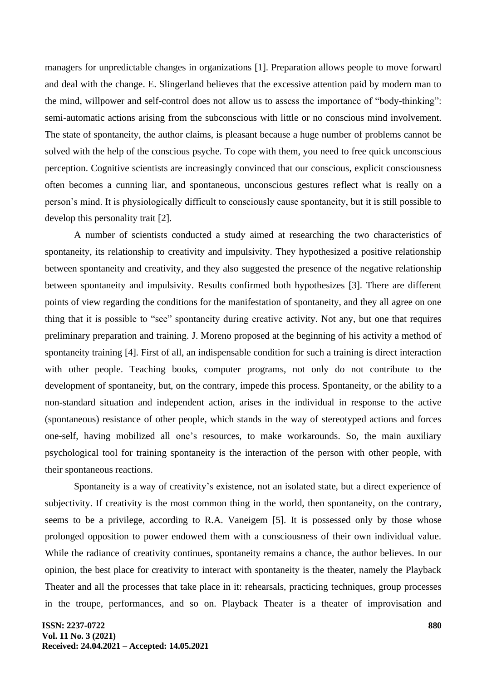managers for unpredictable changes in organizations [1]. Preparation allows people to move forward and deal with the change. E. Slingerland believes that the excessive attention paid by modern man to the mind, willpower and self-control does not allow us to assess the importance of "body-thinking": semi-automatic actions arising from the subconscious with little or no conscious mind involvement. The state of spontaneity, the author claims, is pleasant because a huge number of problems cannot be solved with the help of the conscious psyche. To cope with them, you need to free quick unconscious perception. Cognitive scientists are increasingly convinced that our conscious, explicit consciousness often becomes a cunning liar, and spontaneous, unconscious gestures reflect what is really on a person's mind. It is physiologically difficult to consciously cause spontaneity, but it is still possible to develop this personality trait [2].

A number of scientists conducted a study aimed at researching the two characteristics of spontaneity, its relationship to creativity and impulsivity. They hypothesized a positive relationship between spontaneity and creativity, and they also suggested the presence of the negative relationship between spontaneity and impulsivity. Results confirmed both hypothesizes [3]. There are different points of view regarding the conditions for the manifestation of spontaneity, and they all agree on one thing that it is possible to "see" spontaneity during creative activity. Not any, but one that requires preliminary preparation and training. J. Moreno proposed at the beginning of his activity a method of spontaneity training [4]. First of all, an indispensable condition for such a training is direct interaction with other people. Teaching books, computer programs, not only do not contribute to the development of spontaneity, but, on the contrary, impede this process. Spontaneity, or the ability to a non-standard situation and independent action, arises in the individual in response to the active (spontaneous) resistance of other people, which stands in the way of stereotyped actions and forces one-self, having mobilized all one's resources, to make workarounds. So, the main auxiliary psychological tool for training spontaneity is the interaction of the person with other people, with their spontaneous reactions.

Spontaneity is a way of creativity's existence, not an isolated state, but a direct experience of subjectivity. If creativity is the most common thing in the world, then spontaneity, on the contrary, seems to be a privilege, according to R.A. Vaneigem [5]. It is possessed only by those whose prolonged opposition to power endowed them with a consciousness of their own individual value. While the radiance of creativity continues, spontaneity remains a chance, the author believes. In our opinion, the best place for creativity to interact with spontaneity is the theater, namely the Playback Theater and all the processes that take place in it: rehearsals, practicing techniques, group processes in the troupe, performances, and so on. Playback Theater is a theater of improvisation and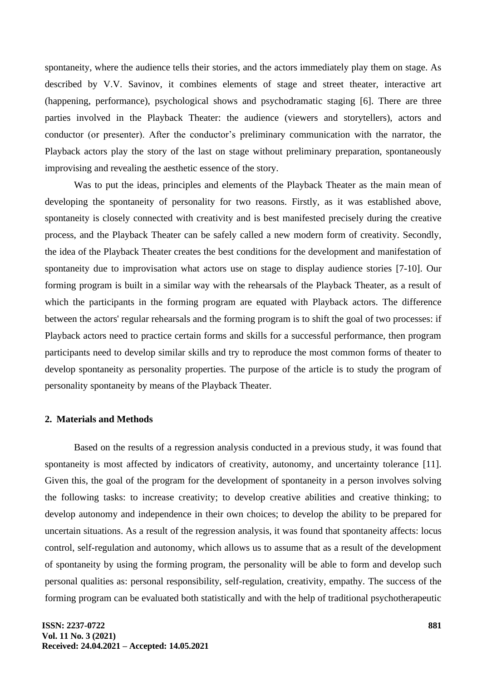spontaneity, where the audience tells their stories, and the actors immediately play them on stage. As described by V.V. Savinov, it combines elements of stage and street theater, interactive art (happening, performance), psychological shows and psychodramatic staging [6]. There are three parties involved in the Playback Theater: the audience (viewers and storytellers), actors and conductor (or presenter). After the conductor's preliminary communication with the narrator, the Playback actors play the story of the last on stage without preliminary preparation, spontaneously improvising and revealing the aesthetic essence of the story.

Was to put the ideas, principles and elements of the Playback Theater as the main mean of developing the spontaneity of personality for two reasons. Firstly, as it was established above, spontaneity is closely connected with creativity and is best manifested precisely during the creative process, and the Playback Theater can be safely called a new modern form of creativity. Secondly, the idea of the Playback Theater creates the best conditions for the development and manifestation of spontaneity due to improvisation what actors use on stage to display audience stories [7-10]. Our forming program is built in a similar way with the rehearsals of the Playback Theater, as a result of which the participants in the forming program are equated with Playback actors. The difference between the actors' regular rehearsals and the forming program is to shift the goal of two processes: if Playback actors need to practice certain forms and skills for a successful performance, then program participants need to develop similar skills and try to reproduce the most common forms of theater to develop spontaneity as personality properties. The purpose of the article is to study the program of personality spontaneity by means of the Playback Theater.

### **2. Materials and Methods**

Based on the results of a regression analysis conducted in a previous study, it was found that spontaneity is most affected by indicators of creativity, autonomy, and uncertainty tolerance [11]. Given this, the goal of the program for the development of spontaneity in a person involves solving the following tasks: to increase creativity; to develop creative abilities and creative thinking; to develop autonomy and independence in their own choices; to develop the ability to be prepared for uncertain situations. As a result of the regression analysis, it was found that spontaneity affects: locus control, self-regulation and autonomy, which allows us to assume that as a result of the development of spontaneity by using the forming program, the personality will be able to form and develop such personal qualities as: personal responsibility, self-regulation, creativity, empathy. The success of the forming program can be evaluated both statistically and with the help of traditional psychotherapeutic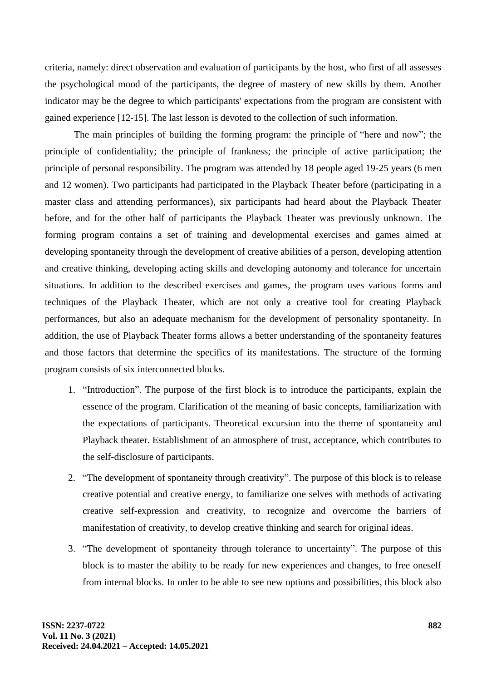criteria, namely: direct observation and evaluation of participants by the host, who first of all assesses the psychological mood of the participants, the degree of mastery of new skills by them. Another indicator may be the degree to which participants' expectations from the program are consistent with gained experience [12-15]. The last lesson is devoted to the collection of such information.

The main principles of building the forming program: the principle of "here and now"; the principle of confidentiality; the principle of frankness; the principle of active participation; the principle of personal responsibility. The program was attended by 18 people aged 19-25 years (6 men and 12 women). Two participants had participated in the Playback Theater before (participating in a master class and attending performances), six participants had heard about the Playback Theater before, and for the other half of participants the Playback Theater was previously unknown. The forming program contains a set of training and developmental exercises and games aimed at developing spontaneity through the development of creative abilities of a person, developing attention and creative thinking, developing acting skills and developing autonomy and tolerance for uncertain situations. In addition to the described exercises and games, the program uses various forms and techniques of the Playback Theater, which are not only a creative tool for creating Playback performances, but also an adequate mechanism for the development of personality spontaneity. In addition, the use of Playback Theater forms allows a better understanding of the spontaneity features and those factors that determine the specifics of its manifestations. The structure of the forming program consists of six interconnected blocks.

- 1. "Introduction". The purpose of the first block is to introduce the participants, explain the essence of the program. Clarification of the meaning of basic concepts, familiarization with the expectations of participants. Theoretical excursion into the theme of spontaneity and Playback theater. Establishment of an atmosphere of trust, acceptance, which contributes to the self-disclosure of participants.
- 2. "The development of spontaneity through creativity". The purpose of this block is to release creative potential and creative energy, to familiarize one selves with methods of activating creative self-expression and creativity, to recognize and overcome the barriers of manifestation of creativity, to develop creative thinking and search for original ideas.
- 3. "The development of spontaneity through tolerance to uncertainty". The purpose of this block is to master the ability to be ready for new experiences and changes, to free oneself from internal blocks. In order to be able to see new options and possibilities, this block also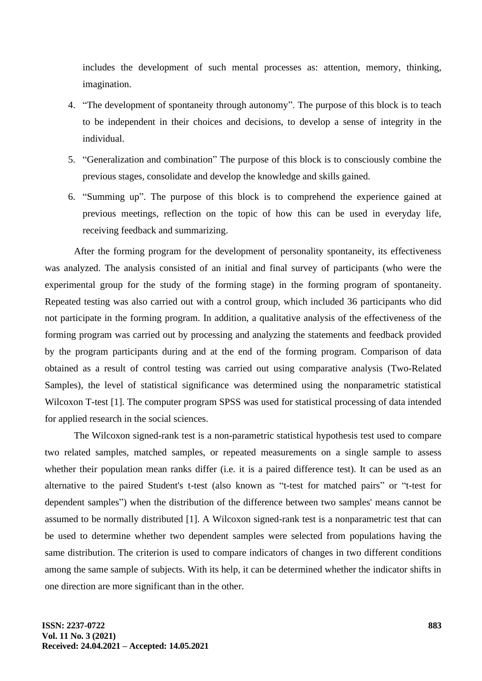includes the development of such mental processes as: attention, memory, thinking, imagination.

- 4. "The development of spontaneity through autonomy". The purpose of this block is to teach to be independent in their choices and decisions, to develop a sense of integrity in the individual.
- 5. "Generalization and combination" The purpose of this block is to consciously combine the previous stages, consolidate and develop the knowledge and skills gained.
- 6. "Summing up". The purpose of this block is to comprehend the experience gained at previous meetings, reflection on the topic of how this can be used in everyday life, receiving feedback and summarizing.

After the forming program for the development of personality spontaneity, its effectiveness was analyzed. The analysis consisted of an initial and final survey of participants (who were the experimental group for the study of the forming stage) in the forming program of spontaneity. Repeated testing was also carried out with a control group, which included 36 participants who did not participate in the forming program. In addition, a qualitative analysis of the effectiveness of the forming program was carried out by processing and analyzing the statements and feedback provided by the program participants during and at the end of the forming program. Comparison of data obtained as a result of control testing was carried out using comparative analysis (Two-Related Samples), the level of statistical significance was determined using the nonparametric statistical Wilcoxon T-test [1]. The computer program SPSS was used for statistical processing of data intended for applied research in the social sciences.

The Wilcoxon signed-rank test is a non-parametric statistical hypothesis test used to compare two related samples, matched samples, or repeated measurements on a single sample to assess whether their population mean ranks differ (i.e. it is a paired difference test). It can be used as an alternative to the paired Student's t-test (also known as "t-test for matched pairs" or "t-test for dependent samples") when the distribution of the difference between two samples' means cannot be assumed to be normally distributed [1]. A Wilcoxon signed-rank test is a nonparametric test that can be used to determine whether two dependent samples were selected from populations having the same distribution. The criterion is used to compare indicators of changes in two different conditions among the same sample of subjects. With its help, it can be determined whether the indicator shifts in one direction are more significant than in the other.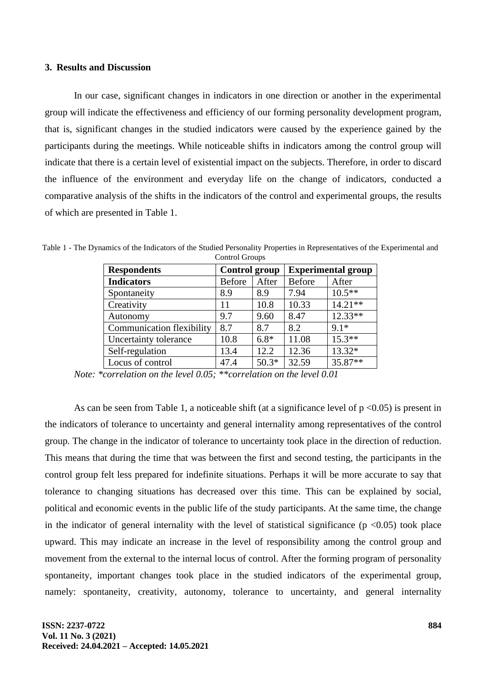#### **3. Results and Discussion**

In our case, significant changes in indicators in one direction or another in the experimental group will indicate the effectiveness and efficiency of our forming personality development program, that is, significant changes in the studied indicators were caused by the experience gained by the participants during the meetings. While noticeable shifts in indicators among the control group will indicate that there is a certain level of existential impact on the subjects. Therefore, in order to discard the influence of the environment and everyday life on the change of indicators, conducted a comparative analysis of the shifts in the indicators of the control and experimental groups, the results of which are presented in Table 1.

| commor organiz                   |                      |         |                           |           |
|----------------------------------|----------------------|---------|---------------------------|-----------|
| <b>Respondents</b>               | <b>Control group</b> |         | <b>Experimental group</b> |           |
| <b>Indicators</b>                | <b>Before</b>        | After   | <b>Before</b>             | After     |
| Spontaneity                      | 8.9                  | 8.9     | 7.94                      | $10.5**$  |
| Creativity                       | 11                   | 10.8    | 10.33                     | $14.21**$ |
| Autonomy                         | 9.7                  | 9.60    | 8.47                      | $12.33**$ |
| <b>Communication flexibility</b> | 8.7                  | 8.7     | 8.2                       | $9.1*$    |
| Uncertainty tolerance            | 10.8                 | $6.8*$  | 11.08                     | $15.3**$  |
| Self-regulation                  | 13.4                 | 12.2    | 12.36                     | $13.32*$  |
| Locus of control                 | 47.4                 | $50.3*$ | 32.59                     | 35.87**   |

Table 1 - The Dynamics of the Indicators of the Studied Personality Properties in Representatives of the Experimental and Control Groups

As can be seen from Table 1, a noticeable shift (at a significance level of  $p \le 0.05$ ) is present in the indicators of tolerance to uncertainty and general internality among representatives of the control group. The change in the indicator of tolerance to uncertainty took place in the direction of reduction. This means that during the time that was between the first and second testing, the participants in the control group felt less prepared for indefinite situations. Perhaps it will be more accurate to say that tolerance to changing situations has decreased over this time. This can be explained by social, political and economic events in the public life of the study participants. At the same time, the change in the indicator of general internality with the level of statistical significance ( $p \le 0.05$ ) took place upward. This may indicate an increase in the level of responsibility among the control group and movement from the external to the internal locus of control. After the forming program of personality spontaneity, important changes took place in the studied indicators of the experimental group, namely: spontaneity, creativity, autonomy, tolerance to uncertainty, and general internality

*Note: \*correlation on the level 0.05; \*\*correlation on the level 0.01*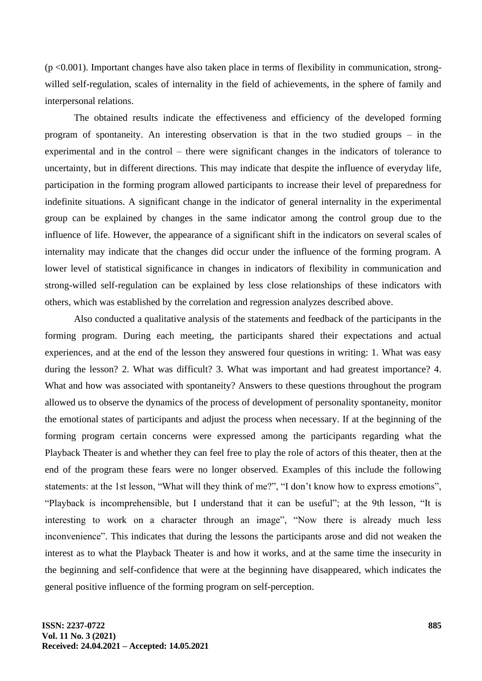$(p < 0.001)$ . Important changes have also taken place in terms of flexibility in communication, strongwilled self-regulation, scales of internality in the field of achievements, in the sphere of family and interpersonal relations.

The obtained results indicate the effectiveness and efficiency of the developed forming program of spontaneity. An interesting observation is that in the two studied groups – in the experimental and in the control – there were significant changes in the indicators of tolerance to uncertainty, but in different directions. This may indicate that despite the influence of everyday life, participation in the forming program allowed participants to increase their level of preparedness for indefinite situations. A significant change in the indicator of general internality in the experimental group can be explained by changes in the same indicator among the control group due to the influence of life. However, the appearance of a significant shift in the indicators on several scales of internality may indicate that the changes did occur under the influence of the forming program. A lower level of statistical significance in changes in indicators of flexibility in communication and strong-willed self-regulation can be explained by less close relationships of these indicators with others, which was established by the correlation and regression analyzes described above.

Also conducted a qualitative analysis of the statements and feedback of the participants in the forming program. During each meeting, the participants shared their expectations and actual experiences, and at the end of the lesson they answered four questions in writing: 1. What was easy during the lesson? 2. What was difficult? 3. What was important and had greatest importance? 4. What and how was associated with spontaneity? Answers to these questions throughout the program allowed us to observe the dynamics of the process of development of personality spontaneity, monitor the emotional states of participants and adjust the process when necessary. If at the beginning of the forming program certain concerns were expressed among the participants regarding what the Playback Theater is and whether they can feel free to play the role of actors of this theater, then at the end of the program these fears were no longer observed. Examples of this include the following statements: at the 1st lesson, "What will they think of me?", "I don't know how to express emotions", "Playback is incomprehensible, but I understand that it can be useful"; at the 9th lesson, "It is interesting to work on a character through an image", "Now there is already much less inconvenience". This indicates that during the lessons the participants arose and did not weaken the interest as to what the Playback Theater is and how it works, and at the same time the insecurity in the beginning and self-confidence that were at the beginning have disappeared, which indicates the general positive influence of the forming program on self-perception.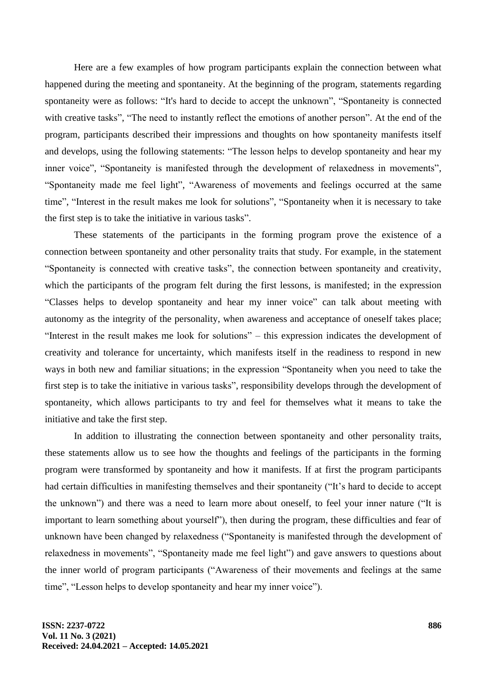Here are a few examples of how program participants explain the connection between what happened during the meeting and spontaneity. At the beginning of the program, statements regarding spontaneity were as follows: "It's hard to decide to accept the unknown", "Spontaneity is connected with creative tasks", "The need to instantly reflect the emotions of another person". At the end of the program, participants described their impressions and thoughts on how spontaneity manifests itself and develops, using the following statements: "The lesson helps to develop spontaneity and hear my inner voice", "Spontaneity is manifested through the development of relaxedness in movements", "Spontaneity made me feel light", "Awareness of movements and feelings occurred at the same time", "Interest in the result makes me look for solutions", "Spontaneity when it is necessary to take the first step is to take the initiative in various tasks".

These statements of the participants in the forming program prove the existence of a connection between spontaneity and other personality traits that study. For example, in the statement "Spontaneity is connected with creative tasks", the connection between spontaneity and creativity, which the participants of the program felt during the first lessons, is manifested; in the expression "Classes helps to develop spontaneity and hear my inner voice" can talk about meeting with autonomy as the integrity of the personality, when awareness and acceptance of oneself takes place; "Interest in the result makes me look for solutions" – this expression indicates the development of creativity and tolerance for uncertainty, which manifests itself in the readiness to respond in new ways in both new and familiar situations; in the expression "Spontaneity when you need to take the first step is to take the initiative in various tasks", responsibility develops through the development of spontaneity, which allows participants to try and feel for themselves what it means to take the initiative and take the first step.

In addition to illustrating the connection between spontaneity and other personality traits, these statements allow us to see how the thoughts and feelings of the participants in the forming program were transformed by spontaneity and how it manifests. If at first the program participants had certain difficulties in manifesting themselves and their spontaneity ("It's hard to decide to accept the unknown") and there was a need to learn more about oneself, to feel your inner nature ("It is important to learn something about yourself"), then during the program, these difficulties and fear of unknown have been changed by relaxedness ("Spontaneity is manifested through the development of relaxedness in movements", "Spontaneity made me feel light") and gave answers to questions about the inner world of program participants ("Awareness of their movements and feelings at the same time", "Lesson helps to develop spontaneity and hear my inner voice").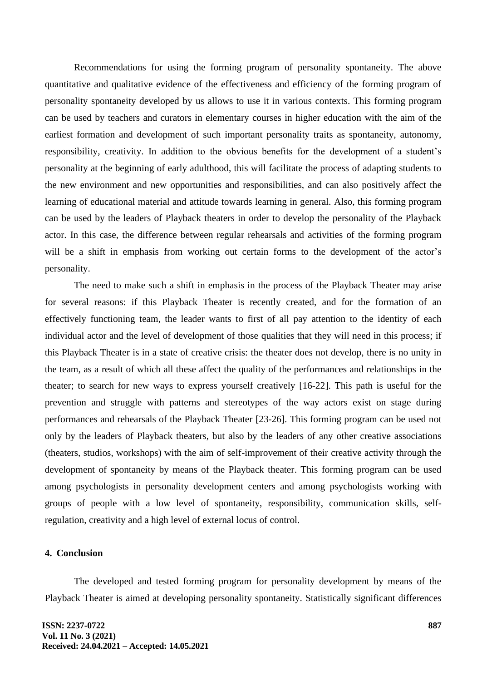Recommendations for using the forming program of personality spontaneity. The above quantitative and qualitative evidence of the effectiveness and efficiency of the forming program of personality spontaneity developed by us allows to use it in various contexts. This forming program can be used by teachers and curators in elementary courses in higher education with the aim of the earliest formation and development of such important personality traits as spontaneity, autonomy, responsibility, creativity. In addition to the obvious benefits for the development of a student's personality at the beginning of early adulthood, this will facilitate the process of adapting students to the new environment and new opportunities and responsibilities, and can also positively affect the learning of educational material and attitude towards learning in general. Also, this forming program can be used by the leaders of Playback theaters in order to develop the personality of the Playback actor. In this case, the difference between regular rehearsals and activities of the forming program will be a shift in emphasis from working out certain forms to the development of the actor's personality.

The need to make such a shift in emphasis in the process of the Playback Theater may arise for several reasons: if this Playback Theater is recently created, and for the formation of an effectively functioning team, the leader wants to first of all pay attention to the identity of each individual actor and the level of development of those qualities that they will need in this process; if this Playback Theater is in a state of creative crisis: the theater does not develop, there is no unity in the team, as a result of which all these affect the quality of the performances and relationships in the theater; to search for new ways to express yourself creatively [16-22]. This path is useful for the prevention and struggle with patterns and stereotypes of the way actors exist on stage during performances and rehearsals of the Playback Theater [23-26]. This forming program can be used not only by the leaders of Playback theaters, but also by the leaders of any other creative associations (theaters, studios, workshops) with the aim of self-improvement of their creative activity through the development of spontaneity by means of the Playback theater. This forming program can be used among psychologists in personality development centers and among psychologists working with groups of people with a low level of spontaneity, responsibility, communication skills, selfregulation, creativity and a high level of external locus of control.

## **4. Conclusion**

The developed and tested forming program for personality development by means of the Playback Theater is aimed at developing personality spontaneity. Statistically significant differences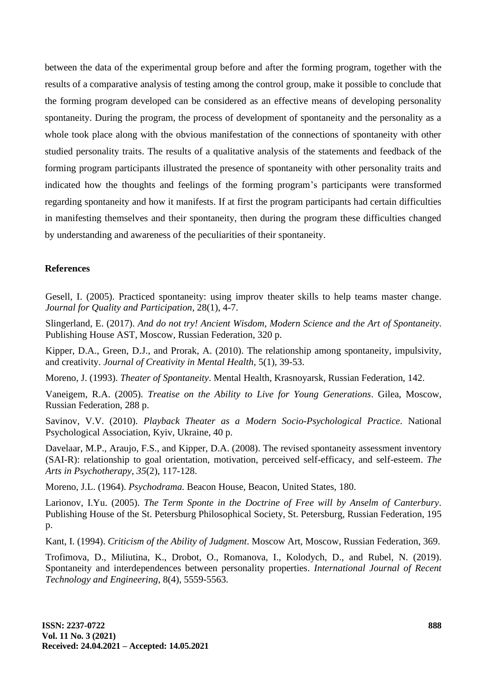between the data of the experimental group before and after the forming program, together with the results of a comparative analysis of testing among the control group, make it possible to conclude that the forming program developed can be considered as an effective means of developing personality spontaneity. During the program, the process of development of spontaneity and the personality as a whole took place along with the obvious manifestation of the connections of spontaneity with other studied personality traits. The results of a qualitative analysis of the statements and feedback of the forming program participants illustrated the presence of spontaneity with other personality traits and indicated how the thoughts and feelings of the forming program's participants were transformed regarding spontaneity and how it manifests. If at first the program participants had certain difficulties in manifesting themselves and their spontaneity, then during the program these difficulties changed by understanding and awareness of the peculiarities of their spontaneity.

## **References**

Gesell, I. (2005). Practiced spontaneity: using improv theater skills to help teams master change. *Journal for Quality and Participation*, 28(1), 4-7.

Slingerland, E. (2017). *And do not try! Ancient Wisdom, Modern Science and the Art of Spontaneity*. Publishing House AST, Moscow, Russian Federation, 320 p.

Kipper, D.A., Green, D.J., and Prorak, A. (2010). The relationship among spontaneity, impulsivity, and creativity. *Journal of Creativity in Mental Health*, 5(1), 39-53.

Moreno, J. (1993). *Theater of Spontaneity*. Mental Health, Krasnoyarsk, Russian Federation, 142.

Vaneigem, R.A. (2005). *Treatise on the Ability to Live for Young Generations*. Gilea, Moscow, Russian Federation, 288 p.

Savinov, V.V. (2010). *Playback Theater as a Modern Socio-Psychological Practice*. National Psychological Association, Kyiv, Ukraine, 40 p.

Davelaar, M.P., Araujo, F.S., and Kipper, D.A. (2008). The revised spontaneity assessment inventory (SAI-R): relationship to goal orientation, motivation, perceived self-efficacy, and self-esteem. *The Arts in Psychotherapy*, *35*(2), 117-128.

Moreno, J.L. (1964). *Psychodrama.* Beacon House, Beacon, United States, 180.

Larionov, I.Yu. (2005). *The Term Sponte in the Doctrine of Free will by Anselm of Canterbury*. Publishing House of the St. Petersburg Philosophical Society, St. Petersburg, Russian Federation, 195 p.

Kant, I. (1994). *Criticism of the Ability of Judgment*. Moscow Art, Moscow, Russian Federation, 369.

Trofimova, D., Miliutina, K., Drobot, O., Romanova, I., Kolodych, D., and Rubel, N. (2019). Spontaneity and interdependences between personality properties. *International Journal of Recent Technology and Engineering*, 8(4), 5559-5563.